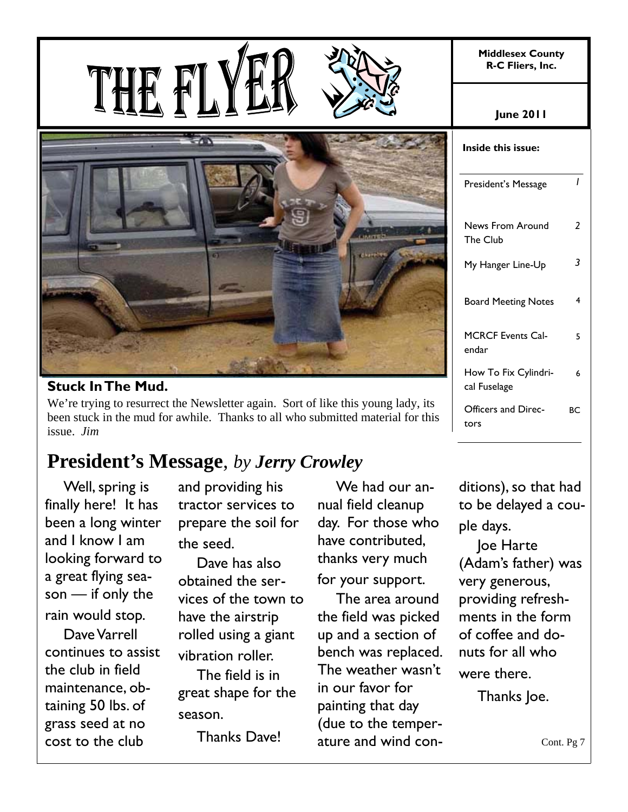**Middlesex County R-C Fliers, Inc.** 



#### **Stuck In The Mud.**

We're trying to resurrect the Newsletter again. Sort of like this young lady, its been stuck in the mud for awhile. Thanks to all who submitted material for this issue. *Jim*

## **President's Message**, *by Jerry Crowley*

Well, spring is finally here! It has been a long winter and I know I am looking forward to a great flying season — if only the rain would stop.

Dave Varrell continues to assist the club in field maintenance, obtaining 50 lbs. of grass seed at no cost to the club

and providing his tractor services to prepare the soil for the seed.

Dave has also obtained the services of the town to have the airstrip rolled using a giant vibration roller.

The field is in great shape for the season.

Thanks Dave!

We had our annual field cleanup day. For those who have contributed, thanks very much for your support.

The area around the field was picked up and a section of bench was replaced. The weather wasn't in our favor for painting that day (due to the temperature and wind con-

| <b>June 2011</b> |
|------------------|
|------------------|

| Inside this issue:                   |    |
|--------------------------------------|----|
| President's Message                  | I  |
| <b>News From Around</b><br>The Club  | 2  |
| My Hanger Line-Up                    | 3  |
| <b>Board Meeting Notes</b>           | 4  |
| MCRCF Events Cal-<br>endar           | 5  |
| How To Fix Cylindri-<br>cal Fuselage | 6  |
| Officers and Direc-<br>tors          | RС |

ditions), so that had to be delayed a couple days.

Joe Harte (Adam's father) was very generous, providing refreshments in the form of coffee and donuts for all who were there.

Thanks Joe.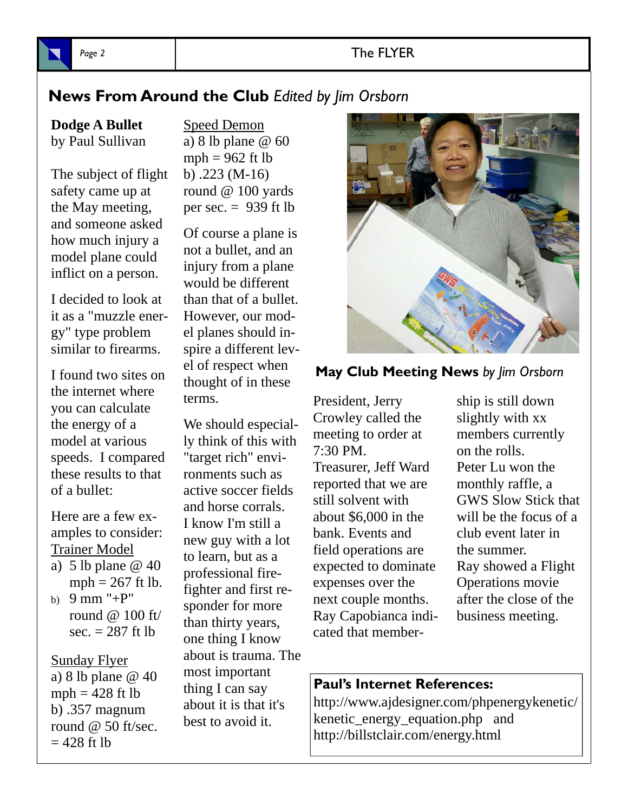#### Page 2 and 2 and 2 and 2 and 2 and 2 and 2 and 2 and 2 and 2 and 2 and 2 and 2 and 2 and 2 and 2 and 2 and 2 and 2 and 2 and 2 and 2 and 2 and 2 and 2 and 2 and 2 and 2 and 2 and 2 and 2 and 2 and 2 and 2 and 2 and 2 and 2

#### **News From Around the Club** *Edited by Jim Orsborn*

**Dodge A Bullet** by Paul Sullivan

The subject of flight safety came up at the May meeting, and someone asked how much injury a model plane could inflict on a person.

I decided to look at it as a "muzzle energy" type problem similar to firearms.

I found two sites on the internet where you can calculate the energy of a model at various speeds. I compared these results to that of a bullet:

Here are a few examples to consider: Trainer Model

- a) 5 lb plane  $\omega$  40  $mph = 267$  ft lb.
- b) 9 mm "+P" round @ 100 ft/ sec.  $= 287$  ft lb

Sunday Flyer a) 8 lb plane @ 40  $mph = 428$  ft lb b) .357 magnum round  $@$  50 ft/sec.  $= 428$  ft lb

Speed Demon a) 8 lb plane @ 60 mph  $= 962$  ft lb b) .223 (M-16) round @ 100 yards per sec.  $= 939$  ft lb

Of course a plane is not a bullet, and an injury from a plane would be different than that of a bullet. However, our model planes should inspire a different level of respect when thought of in these terms.

We should especially think of this with "target rich" environments such as active soccer fields and horse corrals. I know I'm still a new guy with a lot to learn, but as a professional firefighter and first responder for more than thirty years, one thing I know about is trauma. The most important thing I can say about it is that it's best to avoid it.



#### **May Club Meeting News** *by Jim Orsborn*

President, Jerry Crowley called the meeting to order at 7:30 PM. Treasurer, Jeff Ward reported that we are still solvent with about \$6,000 in the bank. Events and field operations are expected to dominate expenses over the next couple months. Ray Capobianca indicated that member-

ship is still down slightly with xx members currently on the rolls. Peter Lu won the monthly raffle, a GWS Slow Stick that will be the focus of a club event later in the summer. Ray showed a Flight Operations movie after the close of the business meeting.

#### **Paul's Internet References:**

http://www.ajdesigner.com/phpenergykenetic/ kenetic\_energy\_equation.php and http://billstclair.com/energy.html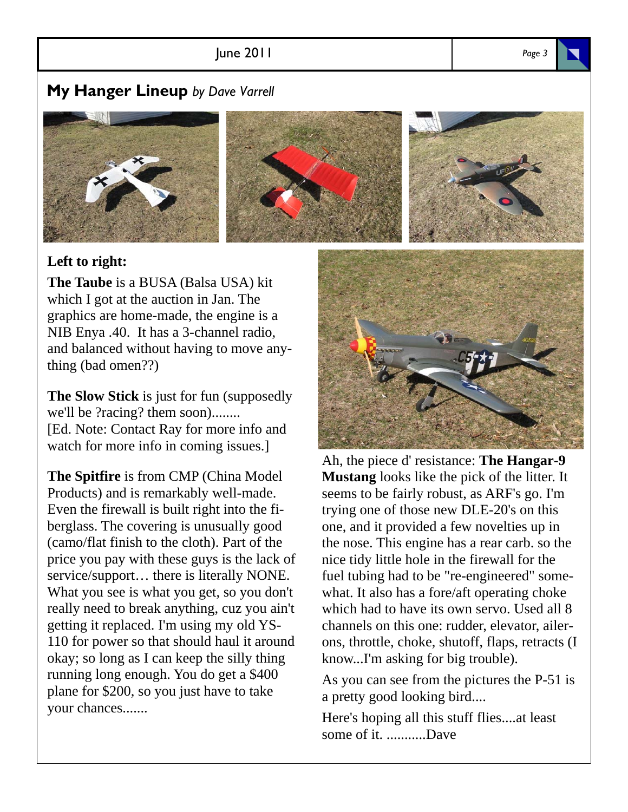#### June 2011 *Page 3*

#### **My Hanger Lineup** *by Dave Varrell*



#### **Left to right:**

**The Taube** is a BUSA (Balsa USA) kit which I got at the auction in Jan. The graphics are home-made, the engine is a NIB Enya .40. It has a 3-channel radio, and balanced without having to move anything (bad omen??)

**The Slow Stick** is just for fun (supposedly we'll be ?racing? them soon)........ [Ed. Note: Contact Ray for more info and watch for more info in coming issues.]

**The Spitfire** is from CMP (China Model Products) and is remarkably well-made. Even the firewall is built right into the fiberglass. The covering is unusually good (camo/flat finish to the cloth). Part of the price you pay with these guys is the lack of service/support… there is literally NONE. What you see is what you get, so you don't really need to break anything, cuz you ain't getting it replaced. I'm using my old YS-110 for power so that should haul it around okay; so long as I can keep the silly thing running long enough. You do get a \$400 plane for \$200, so you just have to take your chances.......



Ah, the piece d' resistance: **The Hangar-9 Mustang** looks like the pick of the litter. It seems to be fairly robust, as ARF's go. I'm trying one of those new DLE-20's on this one, and it provided a few novelties up in the nose. This engine has a rear carb. so the nice tidy little hole in the firewall for the fuel tubing had to be "re-engineered" somewhat. It also has a fore/aft operating choke which had to have its own servo. Used all 8 channels on this one: rudder, elevator, ailerons, throttle, choke, shutoff, flaps, retracts (I know...I'm asking for big trouble).

As you can see from the pictures the P-51 is a pretty good looking bird....

Here's hoping all this stuff flies....at least some of it. ...........Dave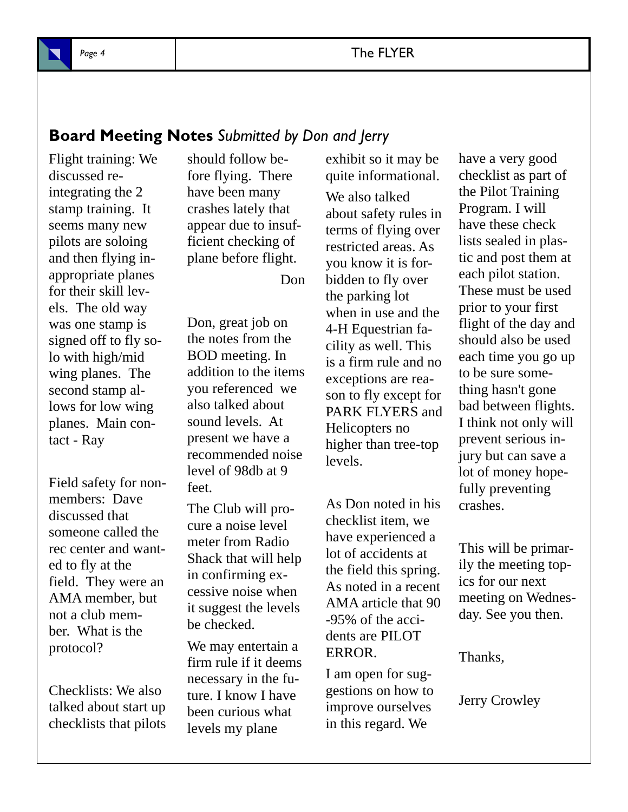

#### Page 4 **The FLYER**

#### **Board Meeting Notes** *Submitted by Don and Jerry*

Flight training: We discussed reintegrating the 2 stamp training. It seems many new pilots are soloing and then flying inappropriate planes for their skill levels. The old way was one stamp is signed off to fly solo with high/mid wing planes. The second stamp allows for low wing planes. Main contact - Ray

Field safety for nonmembers: Dave discussed that someone called the rec center and wanted to fly at the field. They were an AMA member, but not a club member. What is the protocol?

Checklists: We also talked about start up checklists that pilots

should follow before flying. There have been many crashes lately that appear due to insufficient checking of plane before flight.

Don

Don, great job on the notes from the BOD meeting. In addition to the items you referenced we also talked about sound levels. At present we have a recommended noise level of 98db at 9 feet.

The Club will procure a noise level meter from Radio Shack that will help in confirming excessive noise when it suggest the levels be checked.

We may entertain a firm rule if it deems necessary in the future. I know I have been curious what levels my plane

exhibit so it may be quite informational. We also talked about safety rules in terms of flying over restricted areas. As you know it is forbidden to fly over the parking lot when in use and the 4-H Equestrian facility as well. This is a firm rule and no exceptions are reason to fly except for PARK FLYERS and Helicopters no higher than tree-top levels.

As Don noted in his checklist item, we have experienced a lot of accidents at the field this spring. As noted in a recent AMA article that 90 -95% of the accidents are PILOT ERROR.

I am open for suggestions on how to improve ourselves in this regard. We

have a very good checklist as part of the Pilot Training Program. I will have these check lists sealed in plastic and post them at each pilot station. These must be used prior to your first flight of the day and should also be used each time you go up to be sure something hasn't gone bad between flights. I think not only will prevent serious injury but can save a lot of money hopefully preventing crashes.

This will be primarily the meeting topics for our next meeting on Wednesday. See you then.

Thanks,

Jerry Crowley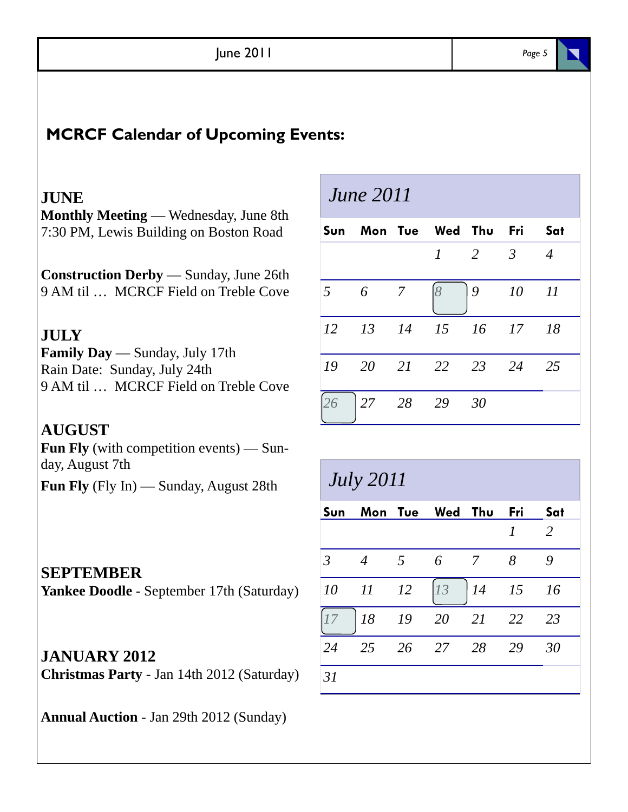| June 2011 | Page 5 |
|-----------|--------|
|-----------|--------|

#### **MCRCF Calendar of Upcoming Events:**

#### **JUNE**

**Monthly Meeting** — Wednesday, June 8th 7:30 PM, Lewis Building on Boston Road

**Construction Derby** — Sunday, June 26th 9 AM til … MCRCF Field on Treble Cove

#### **JULY**

**Family Day** — Sunday, July 17th Rain Date: Sunday, July 24th 9 AM til … MCRCF Field on Treble Cove

**AUGUST Fun Fly** (with competition events) — Sunday, August 7th **Fun Fly** (Fly In) — Sunday, August 28th

## *June 2011*

|                 |   |                 | Sun Mon Tue Wed Thu Fri Sat      |                     |         |                |
|-----------------|---|-----------------|----------------------------------|---------------------|---------|----------------|
|                 |   |                 |                                  | $1 \quad 2 \quad 3$ |         | $\overline{4}$ |
| $5\overline{)}$ | 6 | $7\overline{)}$ |                                  |                     | 9 10 11 |                |
|                 |   |                 | 12   13   14   15   16   17   18 |                     |         |                |
|                 |   |                 | 19 20 21 22 23 24 25             |                     |         |                |
|                 |   |                 | 27 28 29 30                      |                     |         |                |

### *July 2011*

| Sun            |                          |                 | Mon Tue Wed Thu |                | Fri | Sat            |
|----------------|--------------------------|-----------------|-----------------|----------------|-----|----------------|
|                |                          |                 |                 |                |     | $\overline{2}$ |
| $\overline{3}$ | $\overline{4}$           | $5\overline{)}$ | 6               | $\overline{7}$ | 8   | 9              |
| 10             | $\mathcal{I}\mathcal{I}$ | <i>12</i>       | 13              | $14$ $15$      |     | - 16           |
|                | 18 19                    |                 | 20              | 21             | 22  | 23             |
| 24             | 25                       | 26              | 27 28           |                | -29 | 30             |
| 31             |                          |                 |                 |                |     |                |

#### **Yankee Doodle** - September 17th (Saturday)

**SEPTEMBER**

**JANUARY 2012 Christmas Party** - Jan 14th 2012 (Saturday)

**Annual Auction** - Jan 29th 2012 (Sunday)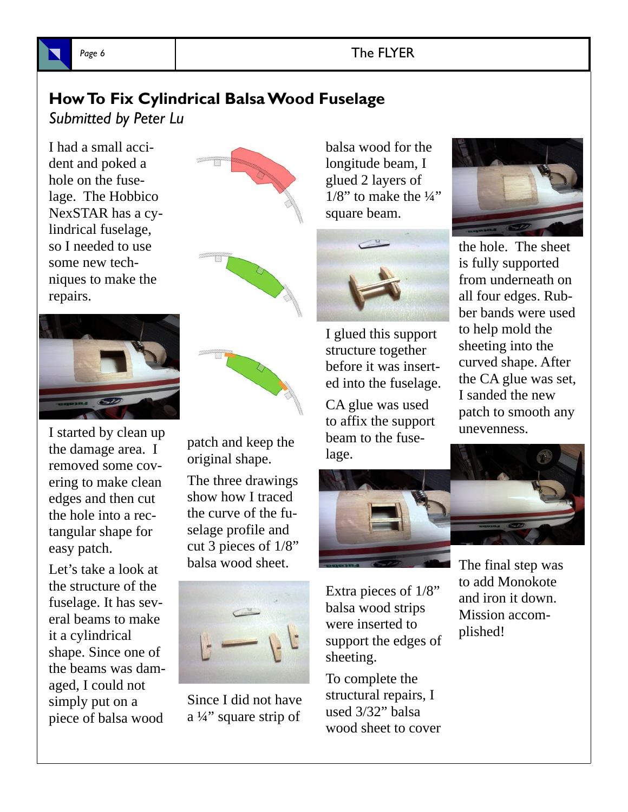

#### Page 6 **The FLYER**

#### **How To Fix Cylindrical Balsa Wood Fuselage**

*Submitted by Peter Lu*

I had a small accident and poked a hole on the fuselage. The Hobbico NexSTAR has a cylindrical fuselage, so I needed to use some new techniques to make the repairs.



I started by clean up the damage area. I removed some covering to make clean edges and then cut the hole into a rectangular shape for easy patch.

Let's take a look at the structure of the fuselage. It has several beams to make it a cylindrical shape. Since one of the beams was damaged, I could not simply put on a piece of balsa wood



patch and keep the original shape.

The three drawings show how I traced the curve of the fuselage profile and cut 3 pieces of 1/8" balsa wood sheet.



Since I did not have a ¼" square strip of

balsa wood for the longitude beam, I glued 2 layers of  $1/8$ " to make the  $\frac{1}{4}$ " square beam.



I glued this support structure together before it was inserted into the fuselage.

CA glue was used to affix the support beam to the fuselage.



Extra pieces of 1/8" balsa wood strips were inserted to support the edges of sheeting.

To complete the structural repairs, I used 3/32" balsa wood sheet to cover



the hole. The sheet is fully supported from underneath on all four edges. Rubber bands were used to help mold the sheeting into the curved shape. After the CA glue was set, I sanded the new patch to smooth any unevenness.



The final step was to add Monokote and iron it down. Mission accomplished!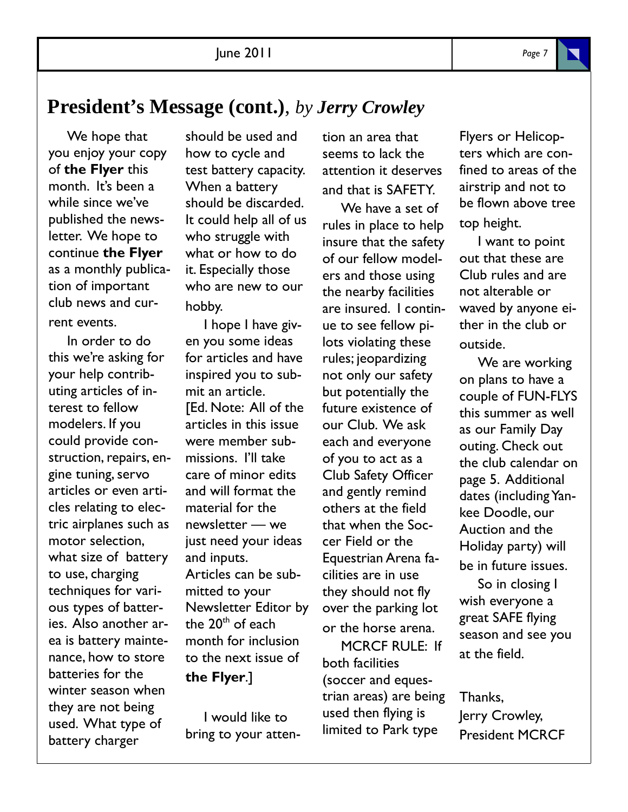#### **President's Message (cont.)**, *by Jerry Crowley*

We hope that you enjoy your copy of **the Flyer** this month. It's been a while since we've published the newsletter. We hope to continue **the Flyer**  as a monthly publication of important club news and current events.

In order to do this we're asking for your help contributing articles of interest to fellow modelers. If you could provide construction, repairs, engine tuning, servo articles or even articles relating to electric airplanes such as motor selection, what size of battery to use, charging techniques for various types of batteries. Also another area is battery maintenance, how to store batteries for the winter season when they are not being used. What type of battery charger

should be used and how to cycle and test battery capacity. When a battery should be discarded. It could help all of us who struggle with what or how to do it. Especially those who are new to our hobby.

I hope I have given you some ideas for articles and have inspired you to submit an article. [Ed. Note: All of the articles in this issue were member submissions. I'll take care of minor edits and will format the material for the newsletter — we just need your ideas and inputs. Articles can be submitted to your Newsletter Editor by the  $20<sup>th</sup>$  of each month for inclusion to the next issue of **the Flyer**.]

I would like to bring to your attention an area that seems to lack the attention it deserves and that is SAFETY.

We have a set of rules in place to help insure that the safety of our fellow modelers and those using the nearby facilities are insured. I continue to see fellow pilots violating these rules; jeopardizing not only our safety but potentially the future existence of our Club. We ask each and everyone of you to act as a Club Safety Officer and gently remind others at the field that when the Soccer Field or the Equestrian Arena facilities are in use they should not fly over the parking lot or the horse arena.

MCRCF RULE: If both facilities (soccer and equestrian areas) are being used then flying is limited to Park type

Flyers or Helicopters which are confined to areas of the airstrip and not to be flown above tree top height.

I want to point out that these are Club rules and are not alterable or waved by anyone either in the club or outside.

We are working on plans to have a couple of FUN-FLYS this summer as well as our Family Day outing. Check out the club calendar on page 5. Additional dates (including Yankee Doodle, our Auction and the Holiday party) will be in future issues.

So in closing I wish everyone a great SAFE flying season and see you at the field.

Thanks, Jerry Crowley, President MCRCF